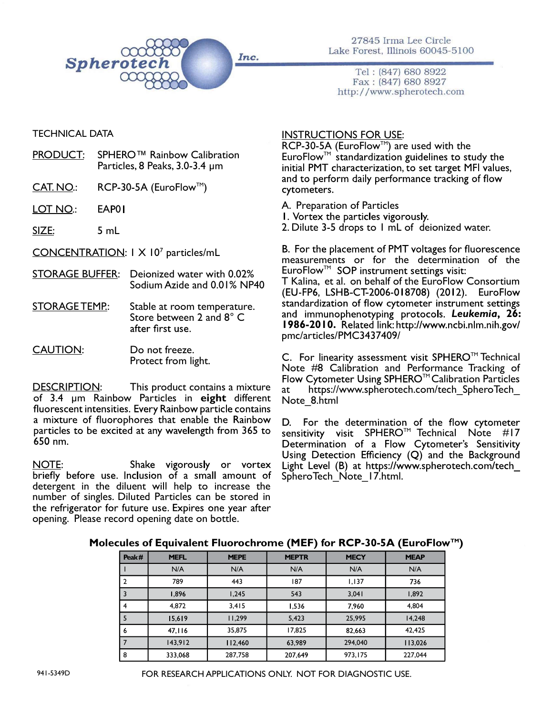

27845 Irma Lee Circle Lake Forest, Illinois 60045-5100

Tel: (847) 680 8922 Fax: (847) 680 8927 http://www.spherotech.com

## TECHNICAL DATA

- PRODUCT: SPHERO™ Rainbow Calibration Particles, 8 Peaks, 3.0-3.4 µm
- $CAT. NO.: \qquad RCP-30-5A (EuroFlow<sup>TM</sup>)$
- LOT NO.: EAP01
- SIZE: 5 mL

CONCENTRATION: 1 X 10<sup>7</sup> particles/mL

- STORAGE BUFFER: Deionized water with 0.02% Sodium Azide and 0.01% NP40
- STORAGE TEMP.: Stable at room temperature. Store between 2 and 8° C<br>after first use.

### CAUTION: Do not freeze. Protect from light.

DESCRIPTION: This product contains a mixture of 3.4 µm Rainbow Particles in eight different fluorescent intensities. Every Rainbow particle contains a mixture of fluorophores that enable the Rainbow particles to be excited at any wavelength from 365 to 650 nm.

<u>NOTE</u>: Shake vigorously or vortex<br>briefly before use. Inclusion of a small amount of Shake vigorously or vortex detergent in the diluent will help to increase the number of singles. Diluted Particles can be stored in the refrigerator for future use. Expires one year after opening. Please record opening date on bottle.

## INSTRUCTIONS FOR USE:

RCP-30-5A (EuroFlow<sup>TM</sup>) are used with the  $Errorflow^{\text{TM}}$  standardization guidelines to study the initial PMT characterization, to set target MFI values, and to perform daily performance tracking of flow cytometers.

A. Preparation of Particles

1. Vortex the particles vigorously.<br>2. Dilute 3-5 drops to 1 mL of deionized water.

B. For the placement of PMT voltages for fluorescence measurements or for the determination of the EuroFlow<sup>™</sup> SOP instrument settings visit: T Kalina, et al. on behalf of the EuroFlow Consortium (EU-FP6, LSHB-CT-2006-018708) (2012). EuroFlow standardization of flow cytometer instrument settings and immunophenotyping protocols. Leukemia, 26: 1986-2010. Related link: http://www.ncbi.nlm.nih.gov/ pmc/articles/PMC3437409/

C. For linearity assessment visit SPHERO<sup>™</sup> Technical Note #8 Calibration and Performance Tracking of Flow Cytometer Using SPHERO<sup> $M$ </sup> Calibration Particles at https://www.spherotech.com/tech\_SpheroTech\_ Note\_8.html

D. For the determination of the flow cytometer sensitivity visit SPHERO<sup>TM</sup> Technical Note #17<br>Determination of a Flow Cytometer's Sensitivity Using Detection Efficiency (Q) and the Background Light Level (B) at https://www.spherotech.com/tech\_ SpheroTech\_Note\_17.html.

#### Molecules of Equivalent Fluorochrome (MEF) for RCP-30-5A (EuroFlow<sup>TM</sup>)

| Peak# | <b>MEFL</b> | <b>MEPE</b> | <b>MEPTR</b> | <b>MECY</b> | <b>MEAP</b> |
|-------|-------------|-------------|--------------|-------------|-------------|
|       | N/A         | N/A         | N/A          | N/A         | N/A         |
| 2     | 789         | 443         | 187          | 1,137       | 736         |
| 3     | 1,896       | 1,245       | 543          | 3,041       | 1,892       |
| 4     | 4,872       | 3,415       | 1,536        | 7,960       | 4,804       |
| 5     | 15,619      | 11,299      | 5,423        | 25,995      | 14,248      |
| 6     | 47,116      | 35,875      | 17,825       | 82,663      | 42,425      |
|       | 143,912     | 112,460     | 63,989       | 294,040     | 113,026     |
| 8     | 333,068     | 287,758     | 207,649      | 973,175     | 227,044     |

FOR RESEARCH APPLICATIONS ONLY. NOT FOR DIAGNOSTIC USE.